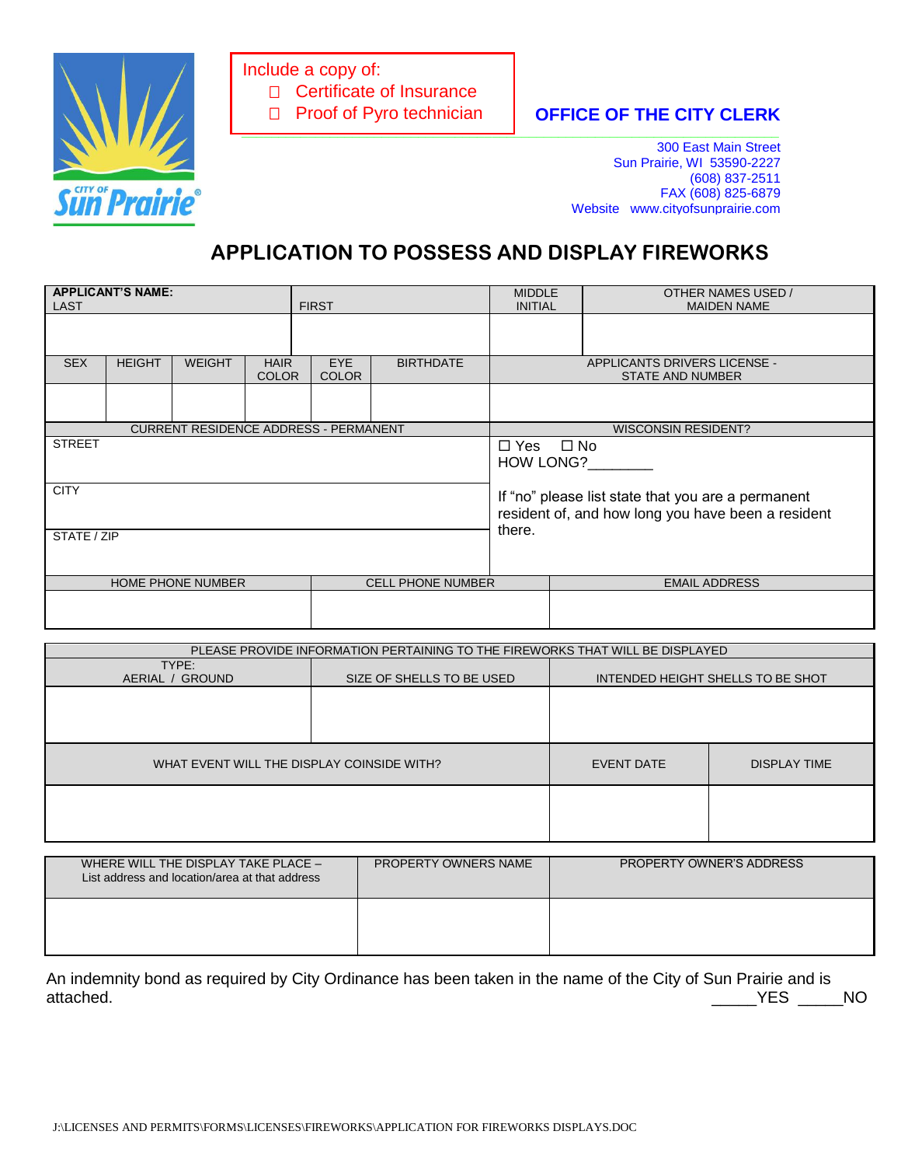

Include a copy of: □ Certificate of Insurance □ Proof of Pyro technician

## **OFFICE OF THE CITY CLERK \_\_\_\_\_\_\_\_\_\_\_\_\_\_\_\_\_\_\_\_\_\_\_\_\_\_\_\_\_\_\_\_\_\_\_\_\_\_\_\_\_\_\_\_\_\_\_\_\_\_\_\_\_\_\_\_\_\_\_\_\_\_\_\_\_\_\_\_\_\_\_\_\_**

300 East Main Street Sun Prairie, WI 53590-2227 (608) 837-2511 FAX (608) 825-6879 Website www.cityofsunprairie.com

## **APPLICATION TO POSSESS AND DISPLAY FIREWORKS**

| <b>APPLICANT'S NAME:</b><br><b>LAST</b> |                                              |                                              |  | <b>FIRST</b>                                   | <b>MIDDLE</b><br><b>INITIAL</b> |                                                                                                          | OTHER NAMES USED /<br><b>MAIDEN NAME</b> |  |
|-----------------------------------------|----------------------------------------------|----------------------------------------------|--|------------------------------------------------|---------------------------------|----------------------------------------------------------------------------------------------------------|------------------------------------------|--|
|                                         |                                              |                                              |  |                                                |                                 |                                                                                                          |                                          |  |
| <b>SEX</b>                              | <b>HEIGHT</b>                                | <b>HAIR</b><br><b>WEIGHT</b><br><b>COLOR</b> |  | <b>EYE</b><br><b>BIRTHDATE</b><br><b>COLOR</b> |                                 | APPLICANTS DRIVERS LICENSE -<br><b>STATE AND NUMBER</b>                                                  |                                          |  |
|                                         |                                              |                                              |  |                                                |                                 |                                                                                                          |                                          |  |
|                                         | <b>CURRENT RESIDENCE ADDRESS - PERMANENT</b> |                                              |  |                                                |                                 |                                                                                                          | <b>WISCONSIN RESIDENT?</b>               |  |
| <b>STREET</b>                           |                                              |                                              |  |                                                |                                 | $\Box$ No<br>$\Box$ Yes<br><b>HOW LONG?</b>                                                              |                                          |  |
| <b>CITY</b>                             |                                              |                                              |  |                                                |                                 | If "no" please list state that you are a permanent<br>resident of, and how long you have been a resident |                                          |  |
| STATE / ZIP                             |                                              |                                              |  |                                                |                                 | there.                                                                                                   |                                          |  |
| <b>HOME PHONE NUMBER</b>                |                                              |                                              |  | <b>CELL PHONE NUMBER</b>                       |                                 |                                                                                                          | <b>EMAIL ADDRESS</b>                     |  |
|                                         |                                              |                                              |  |                                                |                                 |                                                                                                          |                                          |  |

| PLEASE PROVIDE INFORMATION PERTAINING TO THE FIREWORKS THAT WILL BE DISPLAYED |                           |                                   |  |  |  |  |
|-------------------------------------------------------------------------------|---------------------------|-----------------------------------|--|--|--|--|
| TYPE:                                                                         |                           |                                   |  |  |  |  |
| AERIAL / GROUND                                                               | SIZE OF SHELLS TO BE USED | INTENDED HEIGHT SHELLS TO BE SHOT |  |  |  |  |
|                                                                               |                           |                                   |  |  |  |  |
|                                                                               |                           |                                   |  |  |  |  |
|                                                                               |                           |                                   |  |  |  |  |
| WHAT EVENT WILL THE DISPLAY COINSIDE WITH?                                    | EVENT DATE                | <b>DISPLAY TIME</b>               |  |  |  |  |
|                                                                               |                           |                                   |  |  |  |  |
|                                                                               |                           |                                   |  |  |  |  |
|                                                                               |                           |                                   |  |  |  |  |

| WHERE WILL THE DISPLAY TAKE PLACE -<br>List address and location/area at that address | <b>PROPERTY OWNERS NAME</b> | <b>PROPERTY OWNER'S ADDRESS</b> |
|---------------------------------------------------------------------------------------|-----------------------------|---------------------------------|
|                                                                                       |                             |                                 |

An indemnity bond as required by City Ordinance has been taken in the name of the City of Sun Prairie and is YES NO